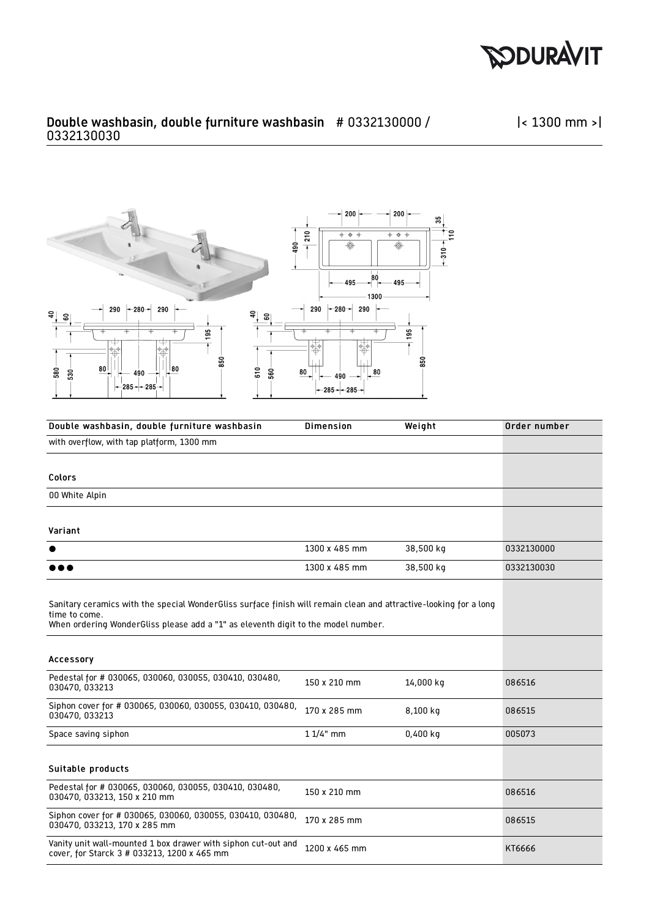

|< 1300 mm >|

## Double washbasin, double furniture washbasin # 0332130000 / 0332130030



| Double washbasin, double furniture washbasin                                                                                                                                                                            | <b>Dimension</b> | Weight     | Order number |
|-------------------------------------------------------------------------------------------------------------------------------------------------------------------------------------------------------------------------|------------------|------------|--------------|
| with overflow, with tap platform, 1300 mm                                                                                                                                                                               |                  |            |              |
|                                                                                                                                                                                                                         |                  |            |              |
| Colors                                                                                                                                                                                                                  |                  |            |              |
| 00 White Alpin                                                                                                                                                                                                          |                  |            |              |
| Variant                                                                                                                                                                                                                 |                  |            |              |
|                                                                                                                                                                                                                         | 1300 x 485 mm    | 38,500 kg  | 0332130000   |
|                                                                                                                                                                                                                         | 1300 x 485 mm    | 38,500 kg  | 0332130030   |
| Sanitary ceramics with the special WonderGliss surface finish will remain clean and attractive-looking for a long<br>time to come.<br>When ordering WonderGliss please add a "1" as eleventh digit to the model number. |                  |            |              |
| Accessory                                                                                                                                                                                                               |                  |            |              |
| Pedestal for # 030065, 030060, 030055, 030410, 030480,<br>030470, 033213                                                                                                                                                | 150 x 210 mm     | 14,000 kg  | 086516       |
| Siphon cover for # 030065, 030060, 030055, 030410, 030480,<br>030470, 033213                                                                                                                                            | 170 x 285 mm     | 8,100 kg   | 086515       |
| Space saving siphon                                                                                                                                                                                                     | $11/4"$ mm       | $0,400$ kg | 005073       |
| Suitable products                                                                                                                                                                                                       |                  |            |              |
| Pedestal for # 030065, 030060, 030055, 030410, 030480,<br>030470, 033213, 150 x 210 mm                                                                                                                                  | 150 x 210 mm     |            | 086516       |
| Siphon cover for # 030065, 030060, 030055, 030410, 030480,<br>030470, 033213, 170 x 285 mm                                                                                                                              | 170 x 285 mm     |            | 086515       |
| Vanity unit wall-mounted 1 box drawer with siphon cut-out and<br>cover, for Starck 3 # 033213, 1200 x 465 mm                                                                                                            | 1200 x 465 mm    |            | KT6666       |